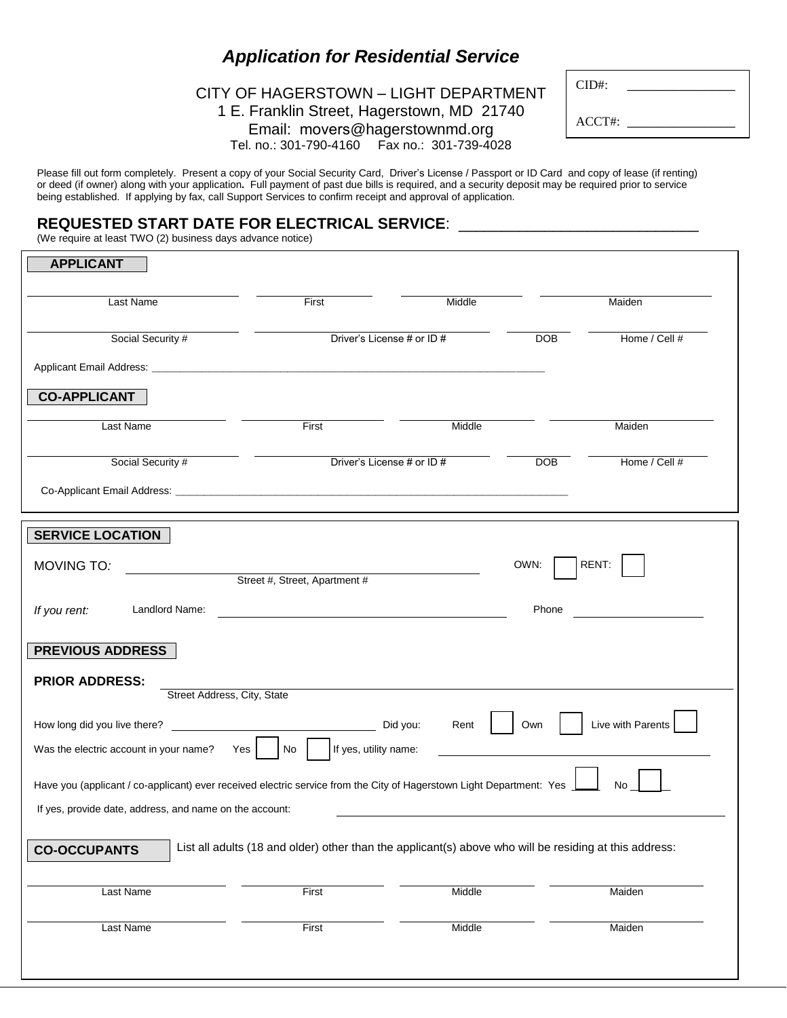## *Application for Residential Service*

## CITY OF HAGERSTOWN – LIGHT DEPARTMENT 1 E. Franklin Street, Hagerstown, MD 21740 Email: movers@hagerstownmd.org Tel. no.: 301-790-4160 Fax no.: 301-739-4028

| $CID#$ : |  |
|----------|--|
| ACCT#    |  |

Please fill out form completely. Present a copy of your Social Security Card, Driver's License / Passport or ID Card and copy of lease (if renting) or deed (if owner) along with your application**.** Full payment of past due bills is required, and a security deposit may be required prior to service being established. If applying by fax, call Support Services to confirm receipt and approval of application.

## **REQUESTED START DATE FOR ELECTRICAL SERVICE**: \_\_\_\_\_\_\_\_\_\_\_\_\_\_\_\_\_\_\_\_\_\_\_\_\_\_\_\_\_\_\_\_\_\_\_<br>(We require at least TWO (2) business days advance notice)

| <b>APPLICANT</b>                                                                                                              |                                                 |                                          |            |                   |  |  |
|-------------------------------------------------------------------------------------------------------------------------------|-------------------------------------------------|------------------------------------------|------------|-------------------|--|--|
| Last Name                                                                                                                     | First                                           | Middle                                   |            | Maiden            |  |  |
| Social Security #                                                                                                             |                                                 | Driver's License # or ID #<br><b>DOB</b> |            | Home / Cell #     |  |  |
|                                                                                                                               |                                                 |                                          |            |                   |  |  |
| <b>CO-APPLICANT</b>                                                                                                           |                                                 |                                          |            |                   |  |  |
| Last Name                                                                                                                     | First                                           | Middle                                   |            | Maiden            |  |  |
| Social Security #                                                                                                             | Driver's License # or ID #                      |                                          | <b>DOB</b> | Home / Cell #     |  |  |
|                                                                                                                               |                                                 |                                          |            |                   |  |  |
| <b>SERVICE LOCATION</b>                                                                                                       |                                                 |                                          |            |                   |  |  |
| MOVING TO:                                                                                                                    | Street #, Street, Apartment #                   |                                          | OWN:       | RENT:             |  |  |
| Landlord Name:<br>If you rent:                                                                                                |                                                 |                                          | Phone      |                   |  |  |
| <b>PREVIOUS ADDRESS</b>                                                                                                       |                                                 |                                          |            |                   |  |  |
| <b>PRIOR ADDRESS:</b>                                                                                                         | Street Address, City, State                     |                                          |            |                   |  |  |
| How long did you live there?<br>Was the electric account in your name?                                                        | Did you:<br>If yes, utility name:<br>Yes<br>No. | Rent                                     | Own        | Live with Parents |  |  |
| Have you (applicant / co-applicant) ever received electric service from the City of Hagerstown Light Department: Yes<br>No    |                                                 |                                          |            |                   |  |  |
| If yes, provide date, address, and name on the account:                                                                       |                                                 |                                          |            |                   |  |  |
| List all adults (18 and older) other than the applicant(s) above who will be residing at this address:<br><b>CO-OCCUPANTS</b> |                                                 |                                          |            |                   |  |  |
| Last Name                                                                                                                     | First                                           | Middle                                   |            | Maiden            |  |  |
| Last Name                                                                                                                     | First                                           | Middle                                   |            | Maiden            |  |  |
|                                                                                                                               |                                                 |                                          |            |                   |  |  |